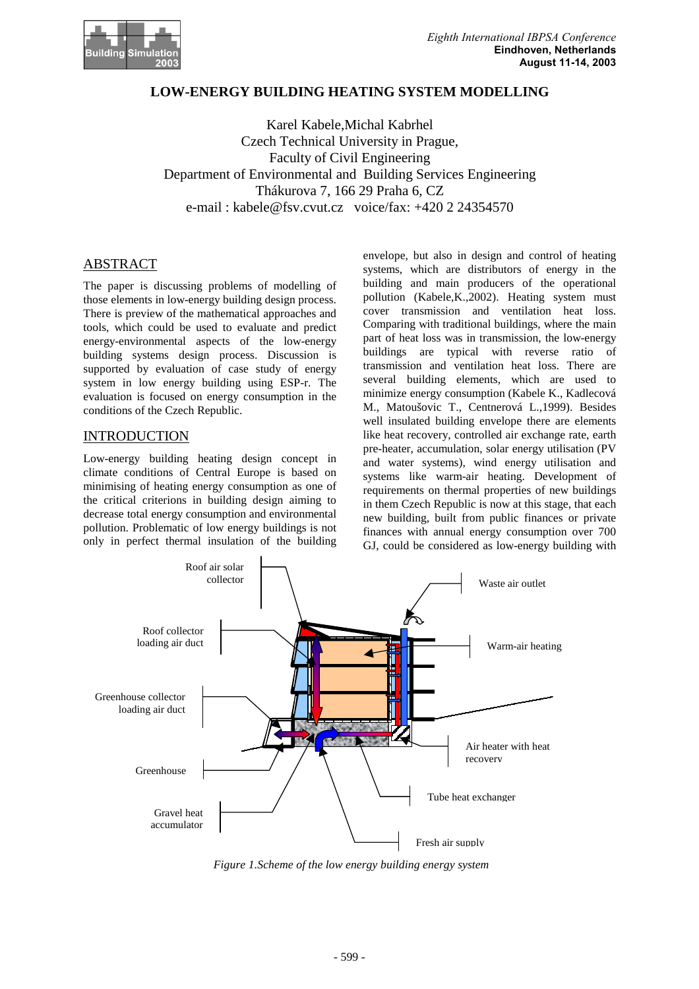

### **LOW-ENERGY BUILDING HEATING SYSTEM MODELLING**

Karel Kabele,Michal Kabrhel Czech Technical University in Prague, Faculty of Civil Engineering Department of Environmental and Building Services Engineering Thákurova 7, 166 29 Praha 6, CZ e-mail : kabele@fsv.cvut.cz voice/fax: +420 2 24354570

# ABSTRACT

The paper is discussing problems of modelling of those elements in low-energy building design process. There is preview of the mathematical approaches and tools, which could be used to evaluate and predict energy-environmental aspects of the low-energy building systems design process. Discussion is supported by evaluation of case study of energy system in low energy building using ESP-r. The evaluation is focused on energy consumption in the conditions of the Czech Republic.

#### INTRODUCTION

Low-energy building heating design concept in climate conditions of Central Europe is based on minimising of heating energy consumption as one of the critical criterions in building design aiming to decrease total energy consumption and environmental pollution. Problematic of low energy buildings is not only in perfect thermal insulation of the building envelope, but also in design and control of heating systems, which are distributors of energy in the building and main producers of the operational pollution (Kabele,K.,2002). Heating system must cover transmission and ventilation heat loss. Comparing with traditional buildings, where the main part of heat loss was in transmission, the low-energy buildings are typical with reverse ratio of transmission and ventilation heat loss. There are several building elements, which are used to minimize energy consumption (Kabele K., Kadlecová M., Matoušovic T., Centnerová L.,1999). Besides well insulated building envelope there are elements like heat recovery, controlled air exchange rate, earth pre-heater, accumulation, solar energy utilisation (PV and water systems), wind energy utilisation and systems like warm-air heating. Development of requirements on thermal properties of new buildings in them Czech Republic is now at this stage, that each new building, built from public finances or private finances with annual energy consumption over 700 GJ, could be considered as low-energy building with



*Figure 1.Scheme of the low energy building energy system*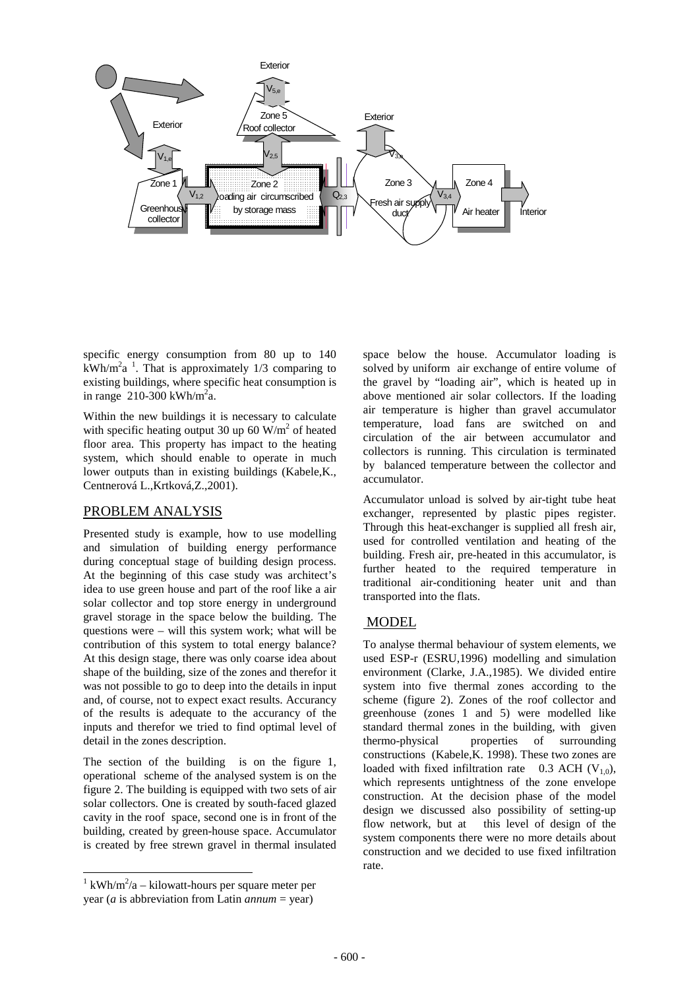

specific energy consumption from 80 up to 140  $kWh/m<sup>2</sup>a<sup>-1</sup>$ . That is approximately 1/3 comparing to existing buildings, where specific heat consumption is in range  $210-300$  kWh/m<sup>2</sup>a.

Within the new buildings it is necessary to calculate with specific heating output 30 up 60  $W/m^2$  of heated floor area. This property has impact to the heating system, which should enable to operate in much lower outputs than in existing buildings (Kabele, K., Centnerová L.,Krtková,Z.,2001).

### PROBLEM ANALYSIS

Presented study is example, how to use modelling and simulation of building energy performance during conceptual stage of building design process. At the beginning of this case study was architect's idea to use green house and part of the roof like a air solar collector and top store energy in underground gravel storage in the space below the building. The questions were – will this system work; what will be contribution of this system to total energy balance? At this design stage, there was only coarse idea about shape of the building, size of the zones and therefor it was not possible to go to deep into the details in input and, of course, not to expect exact results. Accurancy of the results is adequate to the accurancy of the inputs and therefor we tried to find optimal level of detail in the zones description.

The section of the building is on the figure 1, operational scheme of the analysed system is on the figure 2. The building is equipped with two sets of air solar collectors. One is created by south-faced glazed cavity in the roof space, second one is in front of the building, created by green-house space. Accumulator is created by free strewn gravel in thermal insulated

l

space below the house. Accumulator loading is solved by uniform air exchange of entire volume of the gravel by "loading air", which is heated up in above mentioned air solar collectors. If the loading air temperature is higher than gravel accumulator temperature, load fans are switched on and circulation of the air between accumulator and collectors is running. This circulation is terminated by balanced temperature between the collector and accumulator.

Accumulator unload is solved by air-tight tube heat exchanger, represented by plastic pipes register. Through this heat-exchanger is supplied all fresh air, used for controlled ventilation and heating of the building. Fresh air, pre-heated in this accumulator, is further heated to the required temperature in traditional air-conditioning heater unit and than transported into the flats.

# MODEL

To analyse thermal behaviour of system elements, we used ESP-r (ESRU,1996) modelling and simulation environment (Clarke, J.A.,1985). We divided entire system into five thermal zones according to the scheme (figure 2). Zones of the roof collector and greenhouse (zones 1 and 5) were modelled like standard thermal zones in the building, with given thermo-physical properties of surrounding constructions (Kabele,K. 1998). These two zones are loaded with fixed infiltration rate  $0.3$  ACH (V<sub>10</sub>), which represents untightness of the zone envelope construction. At the decision phase of the model design we discussed also possibility of setting-up flow network, but at this level of design of the system components there were no more details about construction and we decided to use fixed infiltration rate.

 $1 \text{ kWh/m}^2/a - \text{kilowatt-hours per square meter per}$ year (*a* is abbreviation from Latin *annum* = year)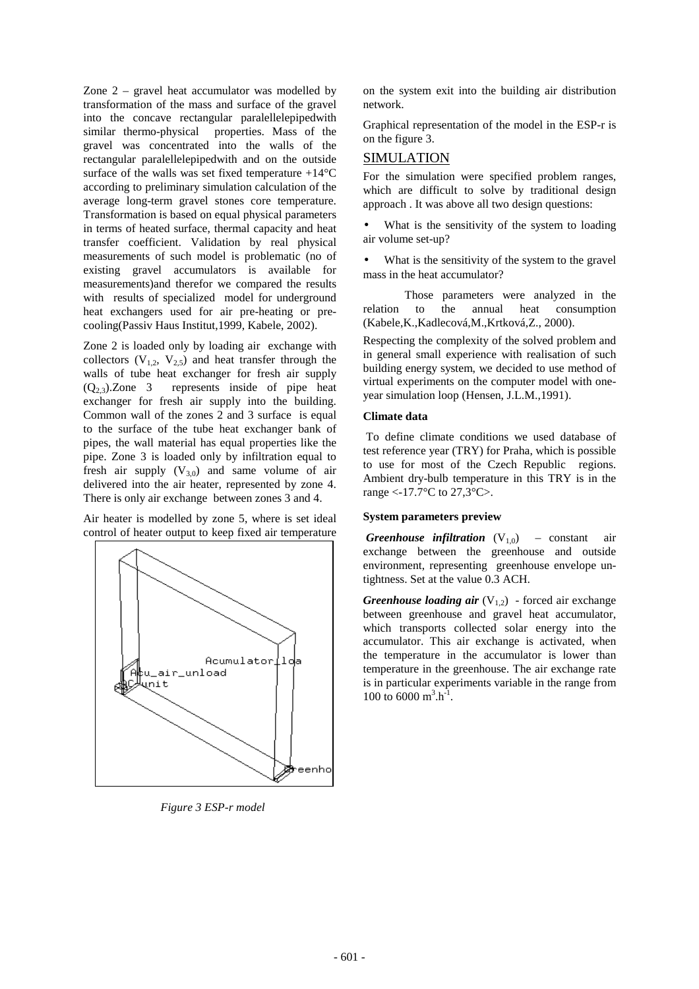Zone 2 – gravel heat accumulator was modelled by transformation of the mass and surface of the gravel into the concave rectangular paralellelepipedwith similar thermo-physical properties. Mass of the gravel was concentrated into the walls of the rectangular paralellelepipedwith and on the outside surface of the walls was set fixed temperature +14°C according to preliminary simulation calculation of the average long-term gravel stones core temperature. Transformation is based on equal physical parameters in terms of heated surface, thermal capacity and heat transfer coefficient. Validation by real physical measurements of such model is problematic (no of existing gravel accumulators is available for measurements)and therefor we compared the results with results of specialized model for underground heat exchangers used for air pre-heating or precooling(Passiv Haus Institut,1999, Kabele, 2002).

Zone 2 is loaded only by loading air exchange with collectors  $(V_{1,2}, V_{2,5})$  and heat transfer through the walls of tube heat exchanger for fresh air supply  $(Q_{2,3})$ .Zone 3 represents inside of pipe heat exchanger for fresh air supply into the building. Common wall of the zones 2 and 3 surface is equal to the surface of the tube heat exchanger bank of pipes, the wall material has equal properties like the pipe. Zone 3 is loaded only by infiltration equal to fresh air supply  $(V_{3,0})$  and same volume of air delivered into the air heater, represented by zone 4. There is only air exchange between zones 3 and 4.

Air heater is modelled by zone 5, where is set ideal control of heater output to keep fixed air temperature



*Figure 3 ESP-r model*

on the system exit into the building air distribution network.

Graphical representation of the model in the ESP-r is on the figure 3.

# SIMULATION

For the simulation were specified problem ranges, which are difficult to solve by traditional design approach . It was above all two design questions:

What is the sensitivity of the system to loading air volume set-up?

• What is the sensitivity of the system to the gravel mass in the heat accumulator?

Those parameters were analyzed in the relation to the annual heat consumption (Kabele,K.,Kadlecová,M.,Krtková,Z., 2000).

Respecting the complexity of the solved problem and in general small experience with realisation of such building energy system, we decided to use method of virtual experiments on the computer model with oneyear simulation loop (Hensen, J.L.M.,1991).

#### **Climate data**

To define climate conditions we used database of test reference year (TRY) for Praha, which is possible to use for most of the Czech Republic regions. Ambient dry-bulb temperature in this TRY is in the range <-17.7 $^{\circ}$ C to 27,3 $^{\circ}$ C>.

#### **System parameters preview**

*Greenhouse infiltration*  $(V_{1,0})$  – constant air exchange between the greenhouse and outside environment, representing greenhouse envelope untightness. Set at the value 0.3 ACH.

*Greenhouse loading air*  $(V_{1,2})$  - forced air exchange between greenhouse and gravel heat accumulator, which transports collected solar energy into the accumulator. This air exchange is activated, when the temperature in the accumulator is lower than temperature in the greenhouse. The air exchange rate is in particular experiments variable in the range from 100 to 6000  $m^3.h^{-1}$ .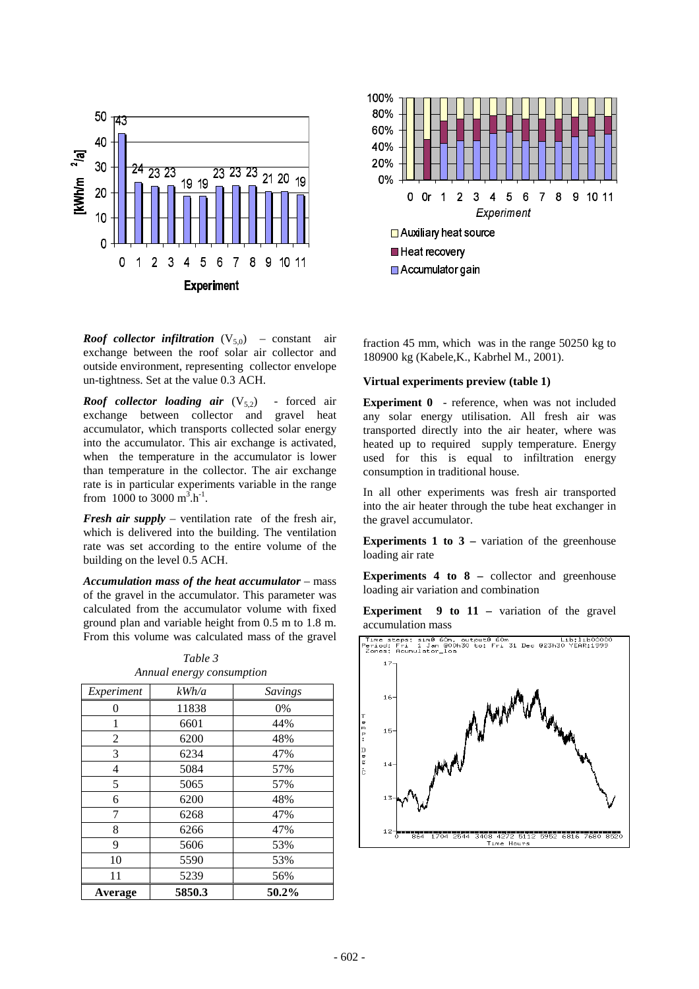



*Roof collector infiltration*  $(V_{5,0})$  – constant air exchange between the roof solar air collector and outside environment, representing collector envelope un-tightness. Set at the value 0.3 ACH.

*Roof collector loading air*  $(V_{5,2})$  - forced air exchange between collector and gravel heat accumulator, which transports collected solar energy into the accumulator. This air exchange is activated, when the temperature in the accumulator is lower than temperature in the collector. The air exchange rate is in particular experiments variable in the range from 1000 to 3000  $m^3.h^{-1}$ .

*Fresh air supply* – ventilation rate of the fresh air, which is delivered into the building. The ventilation rate was set according to the entire volume of the building on the level 0.5 ACH.

*Accumulation mass of the heat accumulator* – mass of the gravel in the accumulator. This parameter was calculated from the accumulator volume with fixed ground plan and variable height from 0.5 m to 1.8 m. From this volume was calculated mass of the gravel

| Experiment | kWh/a  | <b>Savings</b> |
|------------|--------|----------------|
| 0          | 11838  | 0%             |
| 1          | 6601   | 44%            |
| 2          | 6200   | 48%            |
| 3          | 6234   | 47%            |
| 4          | 5084   | 57%            |
| 5          | 5065   | 57%            |
| 6          | 6200   | 48%            |
| 7          | 6268   | 47%            |
| 8          | 6266   | 47%            |
| 9          | 5606   | 53%            |
| 10         | 5590   | 53%            |
| 11         | 5239   | 56%            |
| Average    | 5850.3 | 50.2%          |

*Table 3 Annual energy consumption* fraction 45 mm, which was in the range 50250 kg to 180900 kg (Kabele,K., Kabrhel M., 2001).

#### **Virtual experiments preview (table 1)**

**Experiment 0** - reference, when was not included any solar energy utilisation. All fresh air was transported directly into the air heater, where was heated up to required supply temperature. Energy used for this is equal to infiltration energy consumption in traditional house.

In all other experiments was fresh air transported into the air heater through the tube heat exchanger in the gravel accumulator.

**Experiments 1 to 3** – variation of the greenhouse loading air rate

**Experiments 4 to 8 –** collector and greenhouse loading air variation and combination

**Experiment** 9 to 11 – variation of the gravel accumulation mass

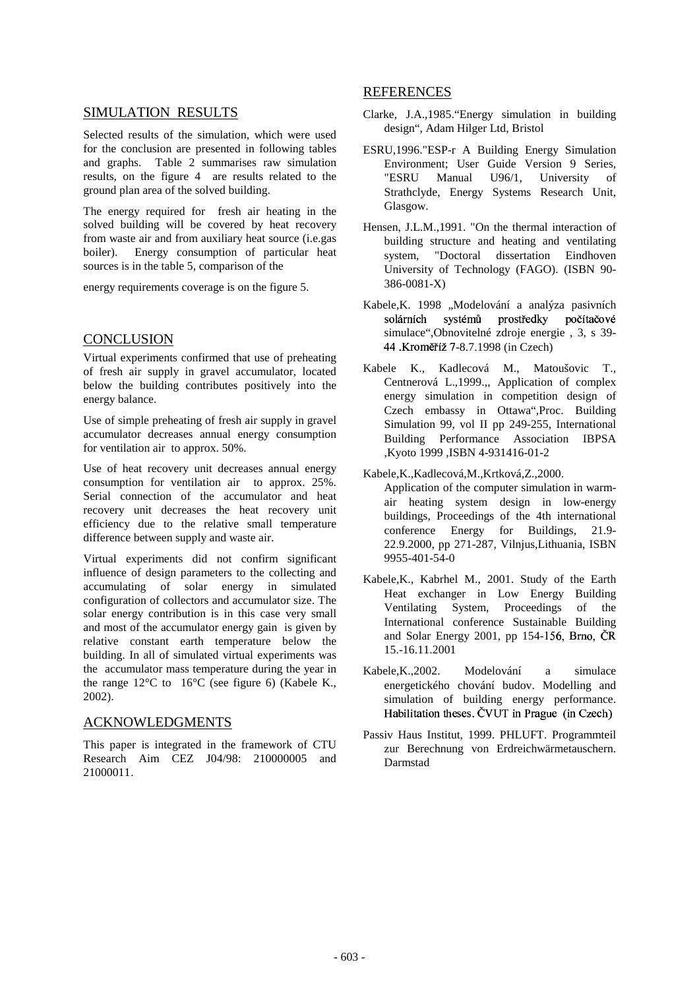# SIMULATION RESULTS

Selected results of the simulation, which were used for the conclusion are presented in following tables and graphs. Table 2 summarises raw simulation results, on the figure 4 are results related to the ground plan area of the solved building.

The energy required for fresh air heating in the solved building will be covered by heat recovery from waste air and from auxiliary heat source (i.e.gas boiler). Energy consumption of particular heat sources is in the table 5, comparison of the

energy requirements coverage is on the figure 5.

# **CONCLUSION**

Virtual experiments confirmed that use of preheating of fresh air supply in gravel accumulator, located below the building contributes positively into the energy balance.

Use of simple preheating of fresh air supply in gravel accumulator decreases annual energy consumption for ventilation air to approx. 50%.

Use of heat recovery unit decreases annual energy consumption for ventilation air to approx. 25%. Serial connection of the accumulator and heat recovery unit decreases the heat recovery unit efficiency due to the relative small temperature difference between supply and waste air.

Virtual experiments did not confirm significant influence of design parameters to the collecting and accumulating of solar energy in simulated configuration of collectors and accumulator size. The solar energy contribution is in this case very small and most of the accumulator energy gain is given by relative constant earth temperature below the building. In all of simulated virtual experiments was the accumulator mass temperature during the year in the range 12°C to 16°C (see figure 6) (Kabele K., 2002).

### ACKNOWLEDGMENTS

This paper is integrated in the framework of CTU Research Aim CEZ J04/98: 210000005 and 21000011.

### REFERENCES

- Clarke, J.A.,1985."Energy simulation in building design", Adam Hilger Ltd, Bristol
- ESRU,1996."ESP-r A Building Energy Simulation Environment; User Guide Version 9 Series, "ESRU Manual U96/1, University of Strathclyde, Energy Systems Research Unit, Glasgow.
- Hensen, J.L.M.,1991. "On the thermal interaction of building structure and heating and ventilating system, "Doctoral dissertation Eindhoven University of Technology (FAGO). (ISBN 90- 386-0081-X)
- Kabele, K. 1998 "Modelování a analýza pasivních solárních systémů prostředky počítačové simulace".Obnovitelné zdroje energie , 3, s 39-44 Kroměříž 7-8.7.1998 (in Czech)
- Kabele K., Kadlecová M., Matoušovic T., Centnerová L.,1999... Application of complex energy simulation in competition design of Czech embassy in Ottawa",Proc. Building Simulation 99, vol II pp 249-255, International Building Performance Association IBPSA ,Kyoto 1999 ,ISBN 4-931416-01-2
- Kabele,K.,Kadlecová,M.,Krtková,Z.,2000.
- Application of the computer simulation in warmair heating system design in low-energy buildings, Proceedings of the 4th international conference Energy for Buildings, 21.9- 22.9.2000, pp 271-287, Vilnjus,Lithuania, ISBN 9955-401-54-0
- Kabele,K., Kabrhel M., 2001. Study of the Earth Heat exchanger in Low Energy Building Ventilating System, Proceedings of the International conference Sustainable Building and Solar Energy 2001, pp 154-156, Brno. ČR 15.-16.11.2001
- Kabele,K.,2002. Modelování a simulace energetického chování budov. Modelling and simulation of building energy performance. ®¯° ±°²®²°³´ ²µ¶·¶ · ¸ ¹º»¼ °´ ½¾®¿À¶ 硫 Âö ĵÅ
- Passiv Haus Institut, 1999. PHLUFT. Programmteil zur Berechnung von Erdreichwärmetauschern. Darmstad